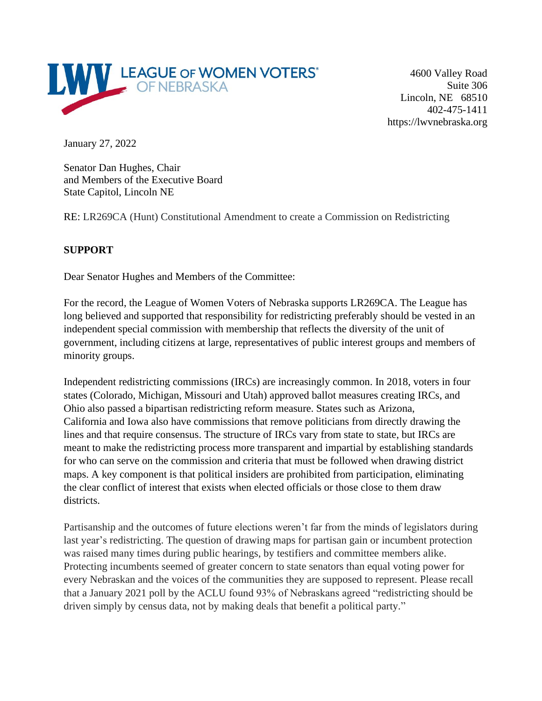

4600 Valley Road Suite 306 Lincoln, NE 68510 402-475-1411 https://lwvnebraska.org

January 27, 2022

Senator Dan Hughes, Chair and Members of the Executive Board State Capitol, Lincoln NE

RE: LR269CA (Hunt) Constitutional Amendment to create a Commission on Redistricting

## **SUPPORT**

Dear Senator Hughes and Members of the Committee:

For the record, the League of Women Voters of Nebraska supports LR269CA. The League has long believed and supported that responsibility for redistricting preferably should be vested in an independent special commission with membership that reflects the diversity of the unit of government, including citizens at large, representatives of public interest groups and members of minority groups.

Independent redistricting commissions (IRCs) are increasingly common. In 2018, voters in four states (Colorado, Michigan, Missouri and Utah) approved ballot measures creating IRCs, and Ohio also passed a bipartisan redistricting reform measure. States such as Arizona, California and Iowa also have commissions that remove politicians from directly drawing the lines and that require consensus. The structure of IRCs vary from state to state, but IRCs are meant to make the redistricting process more transparent and impartial by establishing standards for who can serve on the commission and criteria that must be followed when drawing district maps. A key component is that political insiders are prohibited from participation, eliminating the clear conflict of interest that exists when elected officials or those close to them draw districts.

Partisanship and the outcomes of future elections weren't far from the minds of legislators during last year's redistricting. The question of drawing maps for partisan gain or incumbent protection was raised many times during public hearings, by testifiers and committee members alike. Protecting incumbents seemed of greater concern to state senators than equal voting power for every Nebraskan and the voices of the communities they are supposed to represent. Please recall that a January 2021 poll by the ACLU found 93% of Nebraskans agreed "redistricting should be driven simply by census data, not by making deals that benefit a political party."